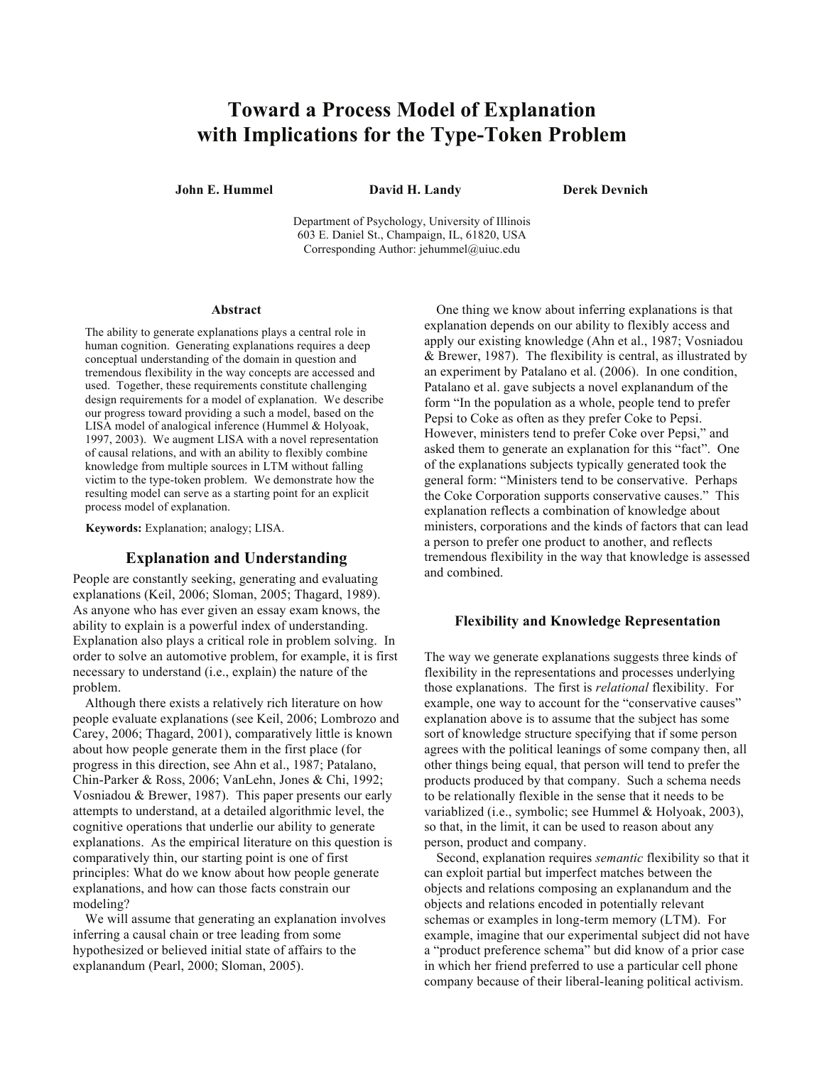# **Toward a Process Model of Explanation with Implications for the Type-Token Problem**

**John E. Hummel David H. Landy Derek Devnich** 

Department of Psychology, University of Illinois 603 E. Daniel St., Champaign, IL, 61820, USA Corresponding Author: jehummel@uiuc.edu

#### **Abstract**

The ability to generate explanations plays a central role in human cognition. Generating explanations requires a deep conceptual understanding of the domain in question and tremendous flexibility in the way concepts are accessed and used. Together, these requirements constitute challenging design requirements for a model of explanation. We describe our progress toward providing a such a model, based on the LISA model of analogical inference (Hummel & Holyoak, 1997, 2003). We augment LISA with a novel representation of causal relations, and with an ability to flexibly combine knowledge from multiple sources in LTM without falling victim to the type-token problem. We demonstrate how the resulting model can serve as a starting point for an explicit process model of explanation.

**Keywords:** Explanation; analogy; LISA.

# **Explanation and Understanding**

People are constantly seeking, generating and evaluating explanations (Keil, 2006; Sloman, 2005; Thagard, 1989). As anyone who has ever given an essay exam knows, the ability to explain is a powerful index of understanding. Explanation also plays a critical role in problem solving. In order to solve an automotive problem, for example, it is first necessary to understand (i.e., explain) the nature of the problem.

Although there exists a relatively rich literature on how people evaluate explanations (see Keil, 2006; Lombrozo and Carey, 2006; Thagard, 2001), comparatively little is known about how people generate them in the first place (for progress in this direction, see Ahn et al., 1987; Patalano, Chin-Parker & Ross, 2006; VanLehn, Jones & Chi, 1992; Vosniadou & Brewer, 1987). This paper presents our early attempts to understand, at a detailed algorithmic level, the cognitive operations that underlie our ability to generate explanations. As the empirical literature on this question is comparatively thin, our starting point is one of first principles: What do we know about how people generate explanations, and how can those facts constrain our modeling?

We will assume that generating an explanation involves inferring a causal chain or tree leading from some hypothesized or believed initial state of affairs to the explanandum (Pearl, 2000; Sloman, 2005).

One thing we know about inferring explanations is that explanation depends on our ability to flexibly access and apply our existing knowledge (Ahn et al., 1987; Vosniadou & Brewer, 1987). The flexibility is central, as illustrated by an experiment by Patalano et al. (2006). In one condition, Patalano et al. gave subjects a novel explanandum of the form "In the population as a whole, people tend to prefer Pepsi to Coke as often as they prefer Coke to Pepsi. However, ministers tend to prefer Coke over Pepsi," and asked them to generate an explanation for this "fact". One of the explanations subjects typically generated took the general form: "Ministers tend to be conservative. Perhaps the Coke Corporation supports conservative causes." This explanation reflects a combination of knowledge about ministers, corporations and the kinds of factors that can lead a person to prefer one product to another, and reflects tremendous flexibility in the way that knowledge is assessed and combined.

# **Flexibility and Knowledge Representation**

The way we generate explanations suggests three kinds of flexibility in the representations and processes underlying those explanations. The first is *relational* flexibility. For example, one way to account for the "conservative causes" explanation above is to assume that the subject has some sort of knowledge structure specifying that if some person agrees with the political leanings of some company then, all other things being equal, that person will tend to prefer the products produced by that company. Such a schema needs to be relationally flexible in the sense that it needs to be variablized (i.e., symbolic; see Hummel & Holyoak, 2003), so that, in the limit, it can be used to reason about any person, product and company.

Second, explanation requires *semantic* flexibility so that it can exploit partial but imperfect matches between the objects and relations composing an explanandum and the objects and relations encoded in potentially relevant schemas or examples in long-term memory (LTM). For example, imagine that our experimental subject did not have a "product preference schema" but did know of a prior case in which her friend preferred to use a particular cell phone company because of their liberal-leaning political activism.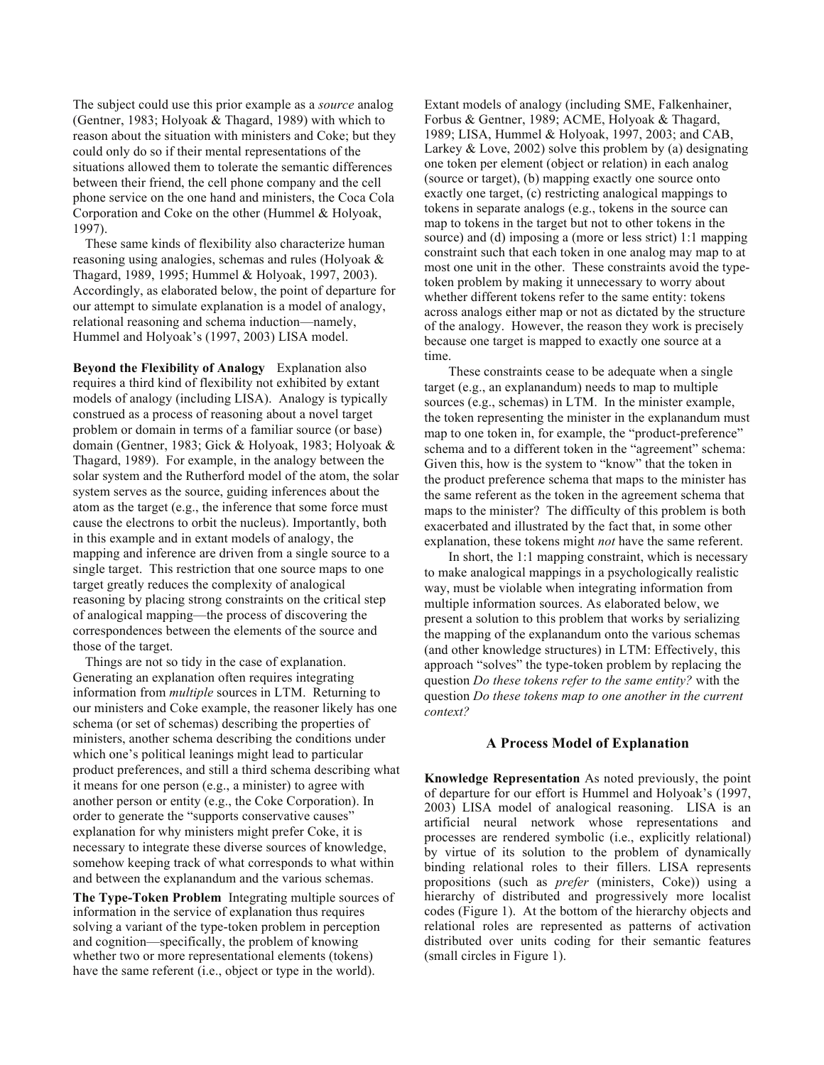The subject could use this prior example as a *source* analog (Gentner, 1983; Holyoak & Thagard, 1989) with which to reason about the situation with ministers and Coke; but they could only do so if their mental representations of the situations allowed them to tolerate the semantic differences between their friend, the cell phone company and the cell phone service on the one hand and ministers, the Coca Cola Corporation and Coke on the other (Hummel & Holyoak, 1997).

These same kinds of flexibility also characterize human reasoning using analogies, schemas and rules (Holyoak & Thagard, 1989, 1995; Hummel & Holyoak, 1997, 2003). Accordingly, as elaborated below, the point of departure for our attempt to simulate explanation is a model of analogy, relational reasoning and schema induction—namely, Hummel and Holyoak's (1997, 2003) LISA model.

**Beyond the Flexibility of Analogy** Explanation also requires a third kind of flexibility not exhibited by extant models of analogy (including LISA). Analogy is typically construed as a process of reasoning about a novel target problem or domain in terms of a familiar source (or base) domain (Gentner, 1983; Gick & Holyoak, 1983; Holyoak & Thagard, 1989). For example, in the analogy between the solar system and the Rutherford model of the atom, the solar system serves as the source, guiding inferences about the atom as the target (e.g., the inference that some force must cause the electrons to orbit the nucleus). Importantly, both in this example and in extant models of analogy, the mapping and inference are driven from a single source to a single target. This restriction that one source maps to one target greatly reduces the complexity of analogical reasoning by placing strong constraints on the critical step of analogical mapping—the process of discovering the correspondences between the elements of the source and those of the target.

Things are not so tidy in the case of explanation. Generating an explanation often requires integrating information from *multiple* sources in LTM. Returning to our ministers and Coke example, the reasoner likely has one schema (or set of schemas) describing the properties of ministers, another schema describing the conditions under which one's political leanings might lead to particular product preferences, and still a third schema describing what it means for one person (e.g., a minister) to agree with another person or entity (e.g., the Coke Corporation). In order to generate the "supports conservative causes" explanation for why ministers might prefer Coke, it is necessary to integrate these diverse sources of knowledge, somehow keeping track of what corresponds to what within and between the explanandum and the various schemas.

**The Type-Token Problem** Integrating multiple sources of information in the service of explanation thus requires solving a variant of the type-token problem in perception and cognition—specifically, the problem of knowing whether two or more representational elements (tokens) have the same referent (i.e., object or type in the world).

Extant models of analogy (including SME, Falkenhainer, Forbus & Gentner, 1989; ACME, Holyoak & Thagard, 1989; LISA, Hummel & Holyoak, 1997, 2003; and CAB, Larkey  $& Love, 2002$  solve this problem by (a) designating one token per element (object or relation) in each analog (source or target), (b) mapping exactly one source onto exactly one target, (c) restricting analogical mappings to tokens in separate analogs (e.g., tokens in the source can map to tokens in the target but not to other tokens in the source) and (d) imposing a (more or less strict) 1:1 mapping constraint such that each token in one analog may map to at most one unit in the other. These constraints avoid the typetoken problem by making it unnecessary to worry about whether different tokens refer to the same entity: tokens across analogs either map or not as dictated by the structure of the analogy. However, the reason they work is precisely because one target is mapped to exactly one source at a time.

These constraints cease to be adequate when a single target (e.g., an explanandum) needs to map to multiple sources (e.g., schemas) in LTM. In the minister example, the token representing the minister in the explanandum must map to one token in, for example, the "product-preference" schema and to a different token in the "agreement" schema: Given this, how is the system to "know" that the token in the product preference schema that maps to the minister has the same referent as the token in the agreement schema that maps to the minister? The difficulty of this problem is both exacerbated and illustrated by the fact that, in some other explanation, these tokens might *not* have the same referent.

In short, the 1:1 mapping constraint, which is necessary to make analogical mappings in a psychologically realistic way, must be violable when integrating information from multiple information sources. As elaborated below, we present a solution to this problem that works by serializing the mapping of the explanandum onto the various schemas (and other knowledge structures) in LTM: Effectively, this approach "solves" the type-token problem by replacing the question *Do these tokens refer to the same entity?* with the question *Do these tokens map to one another in the current context?*

#### **A Process Model of Explanation**

**Knowledge Representation** As noted previously, the point of departure for our effort is Hummel and Holyoak's (1997, 2003) LISA model of analogical reasoning. LISA is an artificial neural network whose representations and processes are rendered symbolic (i.e., explicitly relational) by virtue of its solution to the problem of dynamically binding relational roles to their fillers. LISA represents propositions (such as *prefer* (ministers, Coke)) using a hierarchy of distributed and progressively more localist codes (Figure 1). At the bottom of the hierarchy objects and relational roles are represented as patterns of activation distributed over units coding for their semantic features (small circles in Figure 1).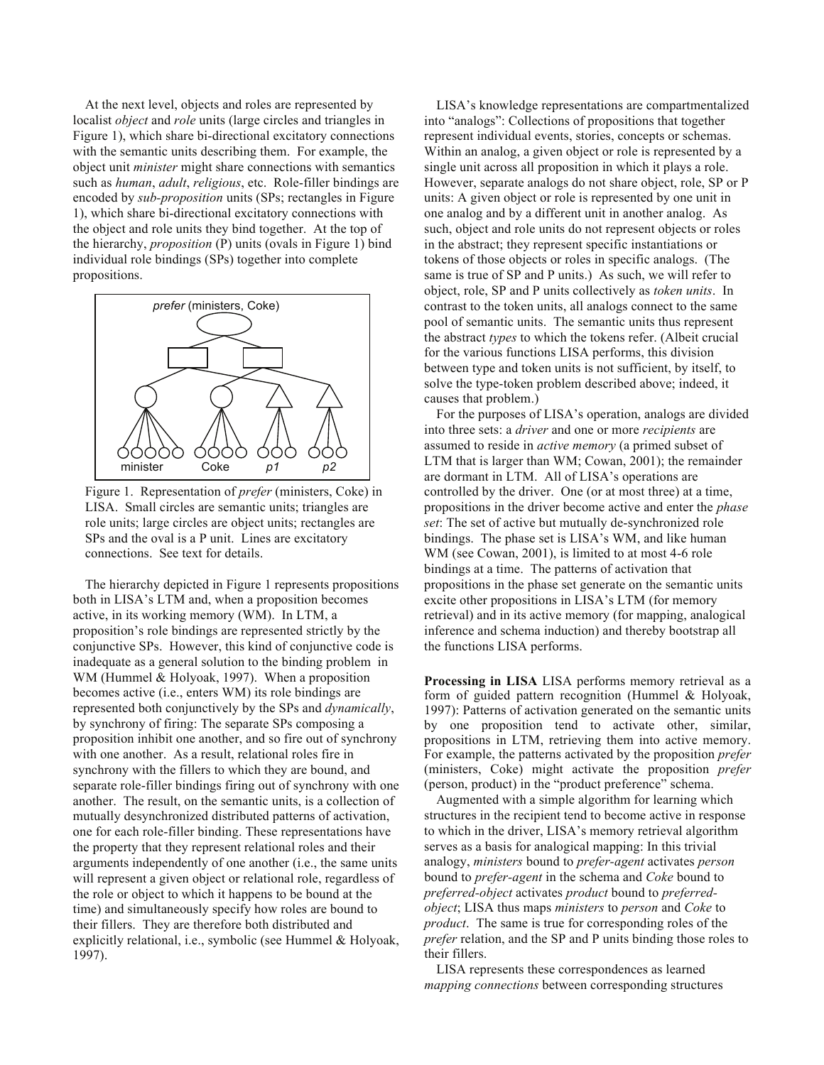At the next level, objects and roles are represented by localist *object* and *role* units (large circles and triangles in Figure 1), which share bi-directional excitatory connections with the semantic units describing them. For example, the object unit *minister* might share connections with semantics such as *human*, *adult*, *religious*, etc. Role-filler bindings are encoded by *sub-proposition* units (SPs; rectangles in Figure 1), which share bi-directional excitatory connections with the object and role units they bind together. At the top of the hierarchy, *proposition* (P) units (ovals in Figure 1) bind individual role bindings (SPs) together into complete propositions.



Figure 1. Representation of *prefer* (ministers, Coke) in LISA. Small circles are semantic units; triangles are role units; large circles are object units; rectangles are SPs and the oval is a P unit. Lines are excitatory connections. See text for details.

The hierarchy depicted in Figure 1 represents propositions both in LISA's LTM and, when a proposition becomes active, in its working memory (WM). In LTM, a proposition's role bindings are represented strictly by the conjunctive SPs. However, this kind of conjunctive code is inadequate as a general solution to the binding problem in WM (Hummel & Holyoak, 1997). When a proposition becomes active (i.e., enters WM) its role bindings are represented both conjunctively by the SPs and *dynamically*, by synchrony of firing: The separate SPs composing a proposition inhibit one another, and so fire out of synchrony with one another. As a result, relational roles fire in synchrony with the fillers to which they are bound, and separate role-filler bindings firing out of synchrony with one another. The result, on the semantic units, is a collection of mutually desynchronized distributed patterns of activation, one for each role-filler binding. These representations have the property that they represent relational roles and their arguments independently of one another (i.e., the same units will represent a given object or relational role, regardless of the role or object to which it happens to be bound at the time) and simultaneously specify how roles are bound to their fillers. They are therefore both distributed and explicitly relational, i.e., symbolic (see Hummel & Holyoak, 1997).

LISA's knowledge representations are compartmentalized into "analogs": Collections of propositions that together represent individual events, stories, concepts or schemas. Within an analog, a given object or role is represented by a single unit across all proposition in which it plays a role. However, separate analogs do not share object, role, SP or P units: A given object or role is represented by one unit in one analog and by a different unit in another analog. As such, object and role units do not represent objects or roles in the abstract; they represent specific instantiations or tokens of those objects or roles in specific analogs. (The same is true of SP and P units.) As such, we will refer to object, role, SP and P units collectively as *token units*. In contrast to the token units, all analogs connect to the same pool of semantic units. The semantic units thus represent the abstract *types* to which the tokens refer. (Albeit crucial for the various functions LISA performs, this division between type and token units is not sufficient, by itself, to solve the type-token problem described above; indeed, it causes that problem.)

For the purposes of LISA's operation, analogs are divided into three sets: a *driver* and one or more *recipients* are assumed to reside in *active memory* (a primed subset of LTM that is larger than WM; Cowan, 2001); the remainder are dormant in LTM. All of LISA's operations are controlled by the driver. One (or at most three) at a time, propositions in the driver become active and enter the *phase set*: The set of active but mutually de-synchronized role bindings. The phase set is LISA's WM, and like human WM (see Cowan, 2001), is limited to at most 4-6 role bindings at a time. The patterns of activation that propositions in the phase set generate on the semantic units excite other propositions in LISA's LTM (for memory retrieval) and in its active memory (for mapping, analogical inference and schema induction) and thereby bootstrap all the functions LISA performs.

**Processing in LISA** LISA performs memory retrieval as a form of guided pattern recognition (Hummel & Holyoak, 1997): Patterns of activation generated on the semantic units by one proposition tend to activate other, similar, propositions in LTM, retrieving them into active memory. For example, the patterns activated by the proposition *prefer* (ministers, Coke) might activate the proposition *prefer* (person, product) in the "product preference" schema.

Augmented with a simple algorithm for learning which structures in the recipient tend to become active in response to which in the driver, LISA's memory retrieval algorithm serves as a basis for analogical mapping: In this trivial analogy, *ministers* bound to *prefer-agent* activates *person* bound to *prefer-agent* in the schema and *Coke* bound to *preferred-object* activates *product* bound to *preferredobject*; LISA thus maps *ministers* to *person* and *Coke* to *product*. The same is true for corresponding roles of the *prefer* relation, and the SP and P units binding those roles to their fillers.

LISA represents these correspondences as learned *mapping connections* between corresponding structures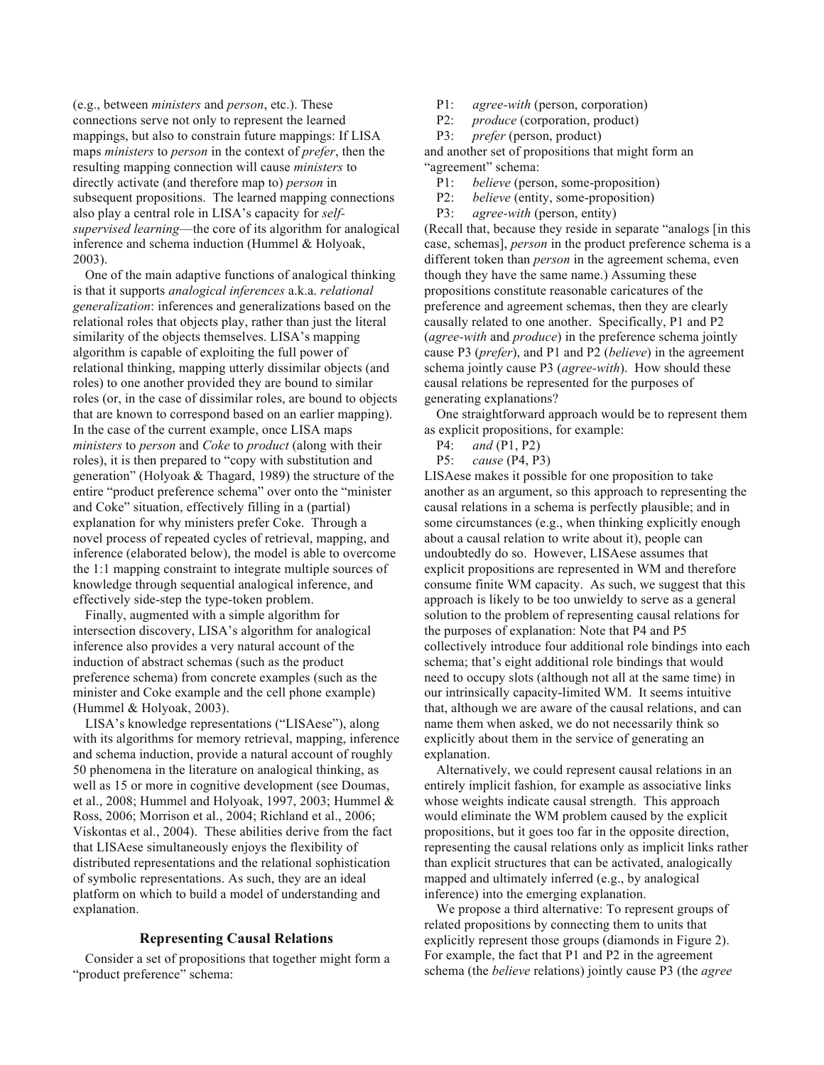(e.g., between *ministers* and *person*, etc.). These connections serve not only to represent the learned mappings, but also to constrain future mappings: If LISA maps *ministers* to *person* in the context of *prefer*, then the resulting mapping connection will cause *ministers* to directly activate (and therefore map to) *person* in subsequent propositions. The learned mapping connections also play a central role in LISA's capacity for *selfsupervised learning*—the core of its algorithm for analogical inference and schema induction (Hummel & Holyoak, 2003).

One of the main adaptive functions of analogical thinking is that it supports *analogical inferences* a.k.a. *relational generalization*: inferences and generalizations based on the relational roles that objects play, rather than just the literal similarity of the objects themselves. LISA's mapping algorithm is capable of exploiting the full power of relational thinking, mapping utterly dissimilar objects (and roles) to one another provided they are bound to similar roles (or, in the case of dissimilar roles, are bound to objects that are known to correspond based on an earlier mapping). In the case of the current example, once LISA maps *ministers* to *person* and *Coke* to *product* (along with their roles), it is then prepared to "copy with substitution and generation" (Holyoak & Thagard, 1989) the structure of the entire "product preference schema" over onto the "minister and Coke" situation, effectively filling in a (partial) explanation for why ministers prefer Coke. Through a novel process of repeated cycles of retrieval, mapping, and inference (elaborated below), the model is able to overcome the 1:1 mapping constraint to integrate multiple sources of knowledge through sequential analogical inference, and effectively side-step the type-token problem.

Finally, augmented with a simple algorithm for intersection discovery, LISA's algorithm for analogical inference also provides a very natural account of the induction of abstract schemas (such as the product preference schema) from concrete examples (such as the minister and Coke example and the cell phone example) (Hummel & Holyoak, 2003).

LISA's knowledge representations ("LISAese"), along with its algorithms for memory retrieval, mapping, inference and schema induction, provide a natural account of roughly 50 phenomena in the literature on analogical thinking, as well as 15 or more in cognitive development (see Doumas, et al., 2008; Hummel and Holyoak, 1997, 2003; Hummel & Ross, 2006; Morrison et al., 2004; Richland et al., 2006; Viskontas et al., 2004). These abilities derive from the fact that LISAese simultaneously enjoys the flexibility of distributed representations and the relational sophistication of symbolic representations. As such, they are an ideal platform on which to build a model of understanding and explanation.

# **Representing Causal Relations**

Consider a set of propositions that together might form a "product preference" schema:

P1: *agree-with* (person, corporation)

P2: *produce* (corporation, product)

P3: *prefer* (person, product)

and another set of propositions that might form an "agreement" schema:

P1: *believe* (person, some-proposition)

P2: *believe* (entity, some-proposition)

P3: *agree-with* (person, entity)

(Recall that, because they reside in separate "analogs [in this case, schemas], *person* in the product preference schema is a different token than *person* in the agreement schema, even though they have the same name.) Assuming these propositions constitute reasonable caricatures of the preference and agreement schemas, then they are clearly causally related to one another. Specifically, P1 and P2 (*agree-with* and *produce*) in the preference schema jointly cause P3 (*prefer*), and P1 and P2 (*believe*) in the agreement schema jointly cause P3 (*agree-with*). How should these causal relations be represented for the purposes of generating explanations?

One straightforward approach would be to represent them as explicit propositions, for example:

P4: *and* (P1, P2)

P5: *cause* (P4, P3)

LISAese makes it possible for one proposition to take another as an argument, so this approach to representing the causal relations in a schema is perfectly plausible; and in some circumstances (e.g., when thinking explicitly enough about a causal relation to write about it), people can undoubtedly do so. However, LISAese assumes that explicit propositions are represented in WM and therefore consume finite WM capacity. As such, we suggest that this approach is likely to be too unwieldy to serve as a general solution to the problem of representing causal relations for the purposes of explanation: Note that P4 and P5 collectively introduce four additional role bindings into each schema; that's eight additional role bindings that would need to occupy slots (although not all at the same time) in our intrinsically capacity-limited WM. It seems intuitive that, although we are aware of the causal relations, and can name them when asked, we do not necessarily think so explicitly about them in the service of generating an explanation.

Alternatively, we could represent causal relations in an entirely implicit fashion, for example as associative links whose weights indicate causal strength. This approach would eliminate the WM problem caused by the explicit propositions, but it goes too far in the opposite direction, representing the causal relations only as implicit links rather than explicit structures that can be activated, analogically mapped and ultimately inferred (e.g., by analogical inference) into the emerging explanation.

We propose a third alternative: To represent groups of related propositions by connecting them to units that explicitly represent those groups (diamonds in Figure 2). For example, the fact that P1 and P2 in the agreement schema (the *believe* relations) jointly cause P3 (the *agree*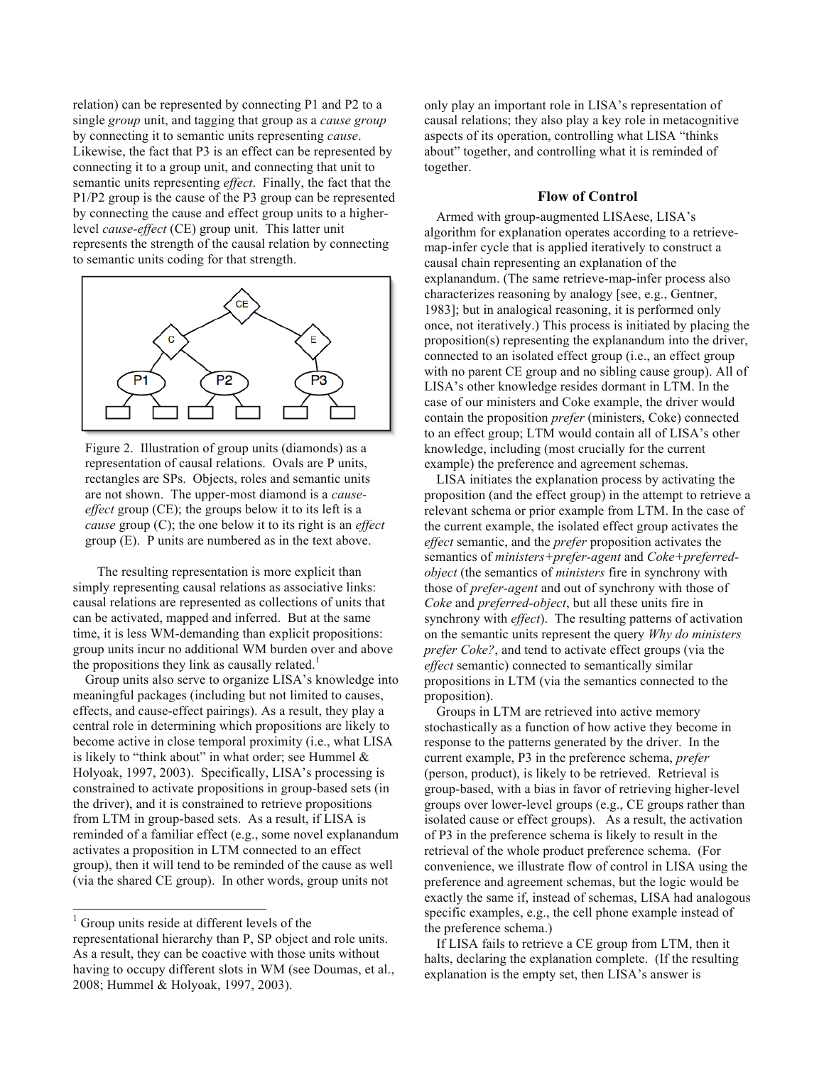relation) can be represented by connecting P1 and P2 to a single *group* unit, and tagging that group as a *cause group* by connecting it to semantic units representing *cause*. Likewise, the fact that P3 is an effect can be represented by connecting it to a group unit, and connecting that unit to semantic units representing *effect*. Finally, the fact that the P1/P2 group is the cause of the P3 group can be represented by connecting the cause and effect group units to a higherlevel *cause-effect* (CE) group unit. This latter unit represents the strength of the causal relation by connecting to semantic units coding for that strength.



Figure 2. Illustration of group units (diamonds) as a representation of causal relations. Ovals are P units, rectangles are SPs. Objects, roles and semantic units are not shown. The upper-most diamond is a *causeeffect* group (CE); the groups below it to its left is a *cause* group (C); the one below it to its right is an *effect* group (E). P units are numbered as in the text above.

The resulting representation is more explicit than simply representing causal relations as associative links: causal relations are represented as collections of units that can be activated, mapped and inferred. But at the same time, it is less WM-demanding than explicit propositions: group units incur no additional WM burden over and above the propositions they link as causally related.<sup>1</sup>

Group units also serve to organize LISA's knowledge into meaningful packages (including but not limited to causes, effects, and cause-effect pairings). As a result, they play a central role in determining which propositions are likely to become active in close temporal proximity (i.e., what LISA is likely to "think about" in what order; see Hummel & Holyoak, 1997, 2003). Specifically, LISA's processing is constrained to activate propositions in group-based sets (in the driver), and it is constrained to retrieve propositions from LTM in group-based sets. As a result, if LISA is reminded of a familiar effect (e.g., some novel explanandum activates a proposition in LTM connected to an effect group), then it will tend to be reminded of the cause as well (via the shared CE group). In other words, group units not

<sup>1</sup> Group units reside at different levels of the

1

representational hierarchy than P, SP object and role units. As a result, they can be coactive with those units without having to occupy different slots in WM (see Doumas, et al., 2008; Hummel & Holyoak, 1997, 2003).

only play an important role in LISA's representation of causal relations; they also play a key role in metacognitive aspects of its operation, controlling what LISA "thinks about" together, and controlling what it is reminded of together.

# **Flow of Control**

Armed with group-augmented LISAese, LISA's algorithm for explanation operates according to a retrievemap-infer cycle that is applied iteratively to construct a causal chain representing an explanation of the explanandum. (The same retrieve-map-infer process also characterizes reasoning by analogy [see, e.g., Gentner, 1983]; but in analogical reasoning, it is performed only once, not iteratively.) This process is initiated by placing the proposition(s) representing the explanandum into the driver, connected to an isolated effect group (i.e., an effect group with no parent CE group and no sibling cause group). All of LISA's other knowledge resides dormant in LTM. In the case of our ministers and Coke example, the driver would contain the proposition *prefer* (ministers, Coke) connected to an effect group; LTM would contain all of LISA's other knowledge, including (most crucially for the current example) the preference and agreement schemas.

LISA initiates the explanation process by activating the proposition (and the effect group) in the attempt to retrieve a relevant schema or prior example from LTM. In the case of the current example, the isolated effect group activates the *effect* semantic, and the *prefer* proposition activates the semantics of *ministers+prefer-agent* and *Coke+preferredobject* (the semantics of *ministers* fire in synchrony with those of *prefer-agent* and out of synchrony with those of *Coke* and *preferred-object*, but all these units fire in synchrony with *effect*). The resulting patterns of activation on the semantic units represent the query *Why do ministers prefer Coke?*, and tend to activate effect groups (via the *effect* semantic) connected to semantically similar propositions in LTM (via the semantics connected to the proposition).

Groups in LTM are retrieved into active memory stochastically as a function of how active they become in response to the patterns generated by the driver. In the current example, P3 in the preference schema, *prefer* (person, product), is likely to be retrieved. Retrieval is group-based, with a bias in favor of retrieving higher-level groups over lower-level groups (e.g., CE groups rather than isolated cause or effect groups). As a result, the activation of P3 in the preference schema is likely to result in the retrieval of the whole product preference schema. (For convenience, we illustrate flow of control in LISA using the preference and agreement schemas, but the logic would be exactly the same if, instead of schemas, LISA had analogous specific examples, e.g., the cell phone example instead of the preference schema.)

If LISA fails to retrieve a CE group from LTM, then it halts, declaring the explanation complete. (If the resulting explanation is the empty set, then LISA's answer is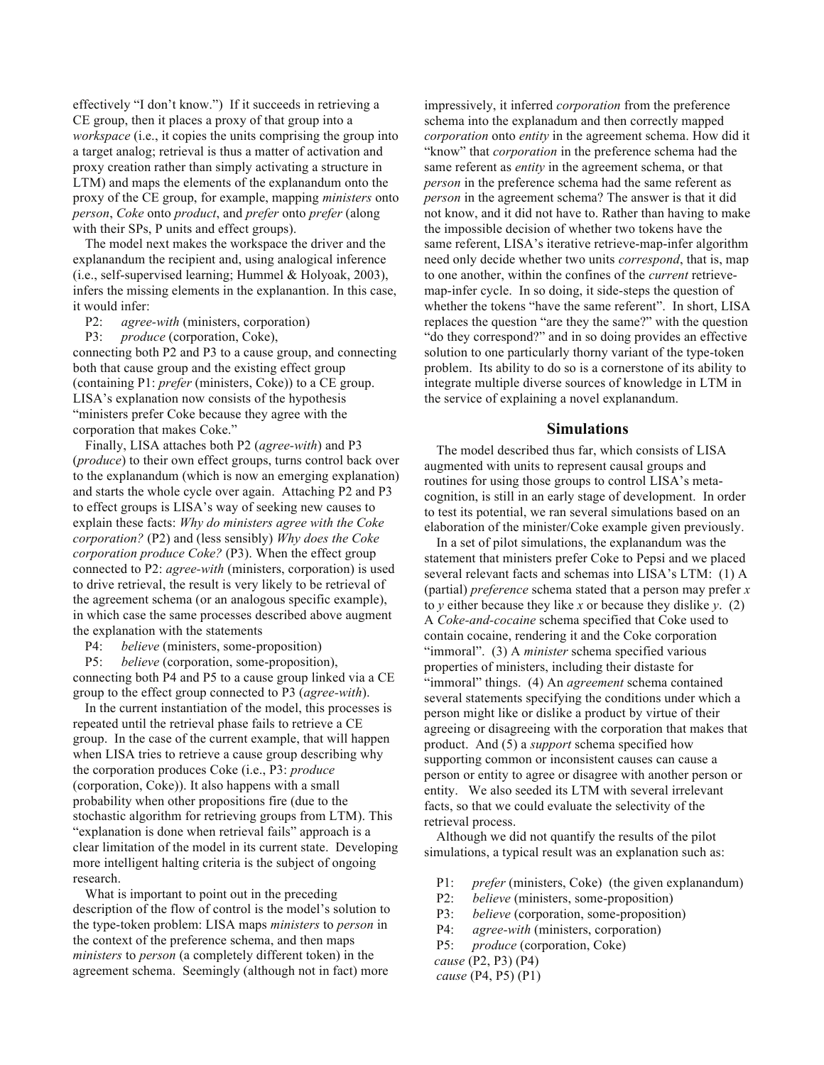effectively "I don't know.") If it succeeds in retrieving a CE group, then it places a proxy of that group into a *workspace* (i.e., it copies the units comprising the group into a target analog; retrieval is thus a matter of activation and proxy creation rather than simply activating a structure in LTM) and maps the elements of the explanandum onto the proxy of the CE group, for example, mapping *ministers* onto *person*, *Coke* onto *product*, and *prefer* onto *prefer* (along with their SPs, P units and effect groups).

The model next makes the workspace the driver and the explanandum the recipient and, using analogical inference (i.e., self-supervised learning; Hummel & Holyoak, 2003), infers the missing elements in the explanantion. In this case, it would infer:

P2: *agree-with* (ministers, corporation)

P3: *produce* (corporation, Coke),

connecting both P2 and P3 to a cause group, and connecting both that cause group and the existing effect group (containing P1: *prefer* (ministers, Coke)) to a CE group. LISA's explanation now consists of the hypothesis "ministers prefer Coke because they agree with the corporation that makes Coke."

Finally, LISA attaches both P2 (*agree-with*) and P3 (*produce*) to their own effect groups, turns control back over to the explanandum (which is now an emerging explanation) and starts the whole cycle over again. Attaching P2 and P3 to effect groups is LISA's way of seeking new causes to explain these facts: *Why do ministers agree with the Coke corporation?* (P2) and (less sensibly) *Why does the Coke corporation produce Coke?* (P3). When the effect group connected to P2: *agree-with* (ministers, corporation) is used to drive retrieval, the result is very likely to be retrieval of the agreement schema (or an analogous specific example), in which case the same processes described above augment the explanation with the statements

P4: *believe* (ministers, some-proposition)

P5: *believe* (corporation, some-proposition), connecting both P4 and P5 to a cause group linked via a CE group to the effect group connected to P3 (*agree-with*).

In the current instantiation of the model, this processes is repeated until the retrieval phase fails to retrieve a CE group. In the case of the current example, that will happen when LISA tries to retrieve a cause group describing why the corporation produces Coke (i.e., P3: *produce* (corporation, Coke)). It also happens with a small probability when other propositions fire (due to the stochastic algorithm for retrieving groups from LTM). This "explanation is done when retrieval fails" approach is a clear limitation of the model in its current state. Developing more intelligent halting criteria is the subject of ongoing research.

What is important to point out in the preceding description of the flow of control is the model's solution to the type-token problem: LISA maps *ministers* to *person* in the context of the preference schema, and then maps *ministers* to *person* (a completely different token) in the agreement schema. Seemingly (although not in fact) more

impressively, it inferred *corporation* from the preference schema into the explanadum and then correctly mapped *corporation* onto *entity* in the agreement schema. How did it "know" that *corporation* in the preference schema had the same referent as *entity* in the agreement schema, or that *person* in the preference schema had the same referent as *person* in the agreement schema? The answer is that it did not know, and it did not have to. Rather than having to make the impossible decision of whether two tokens have the same referent, LISA's iterative retrieve-map-infer algorithm need only decide whether two units *correspond*, that is, map to one another, within the confines of the *current* retrievemap-infer cycle. In so doing, it side-steps the question of whether the tokens "have the same referent". In short, LISA replaces the question "are they the same?" with the question "do they correspond?" and in so doing provides an effective solution to one particularly thorny variant of the type-token problem. Its ability to do so is a cornerstone of its ability to integrate multiple diverse sources of knowledge in LTM in the service of explaining a novel explanandum.

### **Simulations**

The model described thus far, which consists of LISA augmented with units to represent causal groups and routines for using those groups to control LISA's metacognition, is still in an early stage of development. In order to test its potential, we ran several simulations based on an elaboration of the minister/Coke example given previously.

In a set of pilot simulations, the explanandum was the statement that ministers prefer Coke to Pepsi and we placed several relevant facts and schemas into LISA's LTM: (1) A (partial) *preference* schema stated that a person may prefer *x* to *y* either because they like *x* or because they dislike *y*. (2) A *Coke-and-cocaine* schema specified that Coke used to contain cocaine, rendering it and the Coke corporation "immoral". (3) A *minister* schema specified various properties of ministers, including their distaste for "immoral" things. (4) An *agreement* schema contained several statements specifying the conditions under which a person might like or dislike a product by virtue of their agreeing or disagreeing with the corporation that makes that product. And (5) a *support* schema specified how supporting common or inconsistent causes can cause a person or entity to agree or disagree with another person or entity. We also seeded its LTM with several irrelevant facts, so that we could evaluate the selectivity of the retrieval process.

Although we did not quantify the results of the pilot simulations, a typical result was an explanation such as:

- P1: *prefer* (ministers, Coke) (the given explanandum)
- P2: *believe* (ministers, some-proposition)
- P3: *believe* (corporation, some-proposition)
- P4: *agree-with* (ministers, corporation)
- P5: *produce* (corporation, Coke)
- *cause* (P2, P3) (P4)
- *cause* (P4, P5) (P1)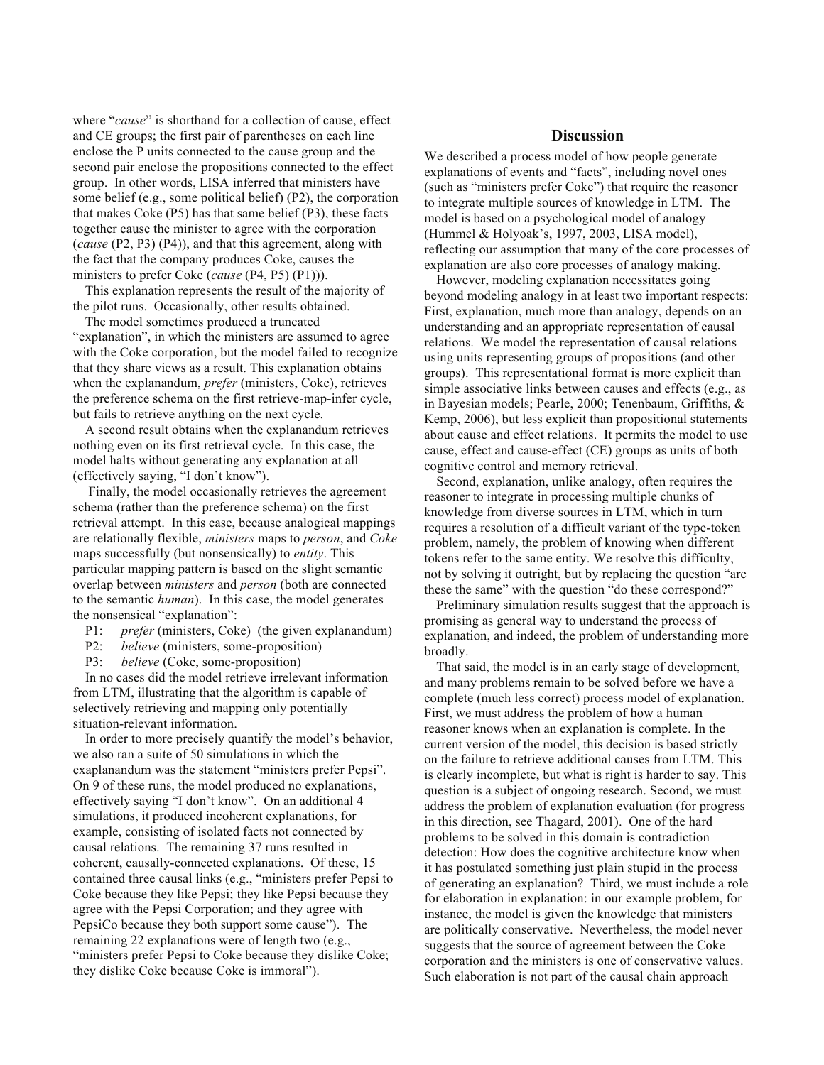where "*cause*" is shorthand for a collection of cause, effect and CE groups; the first pair of parentheses on each line enclose the P units connected to the cause group and the second pair enclose the propositions connected to the effect group. In other words, LISA inferred that ministers have some belief (e.g., some political belief) (P2), the corporation that makes Coke (P5) has that same belief (P3), these facts together cause the minister to agree with the corporation (*cause* (P2, P3) (P4)), and that this agreement, along with the fact that the company produces Coke, causes the ministers to prefer Coke (*cause* (P4, P5) (P1))).

This explanation represents the result of the majority of the pilot runs. Occasionally, other results obtained.

The model sometimes produced a truncated "explanation", in which the ministers are assumed to agree with the Coke corporation, but the model failed to recognize that they share views as a result. This explanation obtains when the explanandum, *prefer* (ministers, Coke), retrieves the preference schema on the first retrieve-map-infer cycle, but fails to retrieve anything on the next cycle.

A second result obtains when the explanandum retrieves nothing even on its first retrieval cycle. In this case, the model halts without generating any explanation at all (effectively saying, "I don't know").

 Finally, the model occasionally retrieves the agreement schema (rather than the preference schema) on the first retrieval attempt. In this case, because analogical mappings are relationally flexible, *ministers* maps to *person*, and *Coke* maps successfully (but nonsensically) to *entity*. This particular mapping pattern is based on the slight semantic overlap between *ministers* and *person* (both are connected to the semantic *human*). In this case, the model generates the nonsensical "explanation":

- P1: *prefer* (ministers, Coke) (the given explanandum)
- P2: *believe* (ministers, some-proposition)
- P3: *believe* (Coke, some-proposition)

In no cases did the model retrieve irrelevant information from LTM, illustrating that the algorithm is capable of selectively retrieving and mapping only potentially situation-relevant information.

In order to more precisely quantify the model's behavior, we also ran a suite of 50 simulations in which the exaplanandum was the statement "ministers prefer Pepsi". On 9 of these runs, the model produced no explanations, effectively saying "I don't know". On an additional 4 simulations, it produced incoherent explanations, for example, consisting of isolated facts not connected by causal relations. The remaining 37 runs resulted in coherent, causally-connected explanations. Of these, 15 contained three causal links (e.g., "ministers prefer Pepsi to Coke because they like Pepsi; they like Pepsi because they agree with the Pepsi Corporation; and they agree with PepsiCo because they both support some cause"). The remaining 22 explanations were of length two (e.g., "ministers prefer Pepsi to Coke because they dislike Coke; they dislike Coke because Coke is immoral").

# **Discussion**

We described a process model of how people generate explanations of events and "facts", including novel ones (such as "ministers prefer Coke") that require the reasoner to integrate multiple sources of knowledge in LTM. The model is based on a psychological model of analogy (Hummel & Holyoak's, 1997, 2003, LISA model), reflecting our assumption that many of the core processes of explanation are also core processes of analogy making.

However, modeling explanation necessitates going beyond modeling analogy in at least two important respects: First, explanation, much more than analogy, depends on an understanding and an appropriate representation of causal relations. We model the representation of causal relations using units representing groups of propositions (and other groups). This representational format is more explicit than simple associative links between causes and effects (e.g., as in Bayesian models; Pearle, 2000; Tenenbaum, Griffiths, & Kemp, 2006), but less explicit than propositional statements about cause and effect relations. It permits the model to use cause, effect and cause-effect (CE) groups as units of both cognitive control and memory retrieval.

Second, explanation, unlike analogy, often requires the reasoner to integrate in processing multiple chunks of knowledge from diverse sources in LTM, which in turn requires a resolution of a difficult variant of the type-token problem, namely, the problem of knowing when different tokens refer to the same entity. We resolve this difficulty, not by solving it outright, but by replacing the question "are these the same" with the question "do these correspond?"

Preliminary simulation results suggest that the approach is promising as general way to understand the process of explanation, and indeed, the problem of understanding more broadly.

That said, the model is in an early stage of development, and many problems remain to be solved before we have a complete (much less correct) process model of explanation. First, we must address the problem of how a human reasoner knows when an explanation is complete. In the current version of the model, this decision is based strictly on the failure to retrieve additional causes from LTM. This is clearly incomplete, but what is right is harder to say. This question is a subject of ongoing research. Second, we must address the problem of explanation evaluation (for progress in this direction, see Thagard, 2001). One of the hard problems to be solved in this domain is contradiction detection: How does the cognitive architecture know when it has postulated something just plain stupid in the process of generating an explanation? Third, we must include a role for elaboration in explanation: in our example problem, for instance, the model is given the knowledge that ministers are politically conservative. Nevertheless, the model never suggests that the source of agreement between the Coke corporation and the ministers is one of conservative values. Such elaboration is not part of the causal chain approach